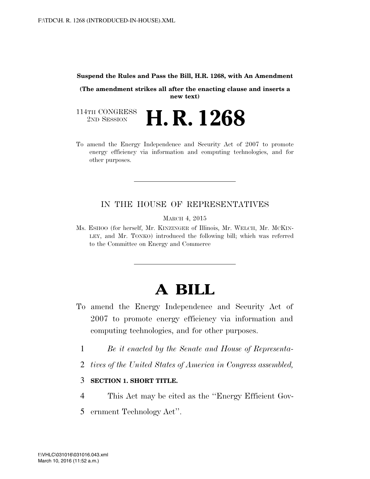#### **Suspend the Rules and Pass the Bill, H.R. 1268, with An Amendment**

**(The amendment strikes all after the enacting clause and inserts a new text)** 

114TH CONGRESS<br>
2ND SESSION H. R. 1268

To amend the Energy Independence and Security Act of 2007 to promote energy efficiency via information and computing technologies, and for other purposes.

# IN THE HOUSE OF REPRESENTATIVES

MARCH 4, 2015

Ms. ESHOO (for herself, Mr. KINZINGER of Illinois, Mr. WELCH, Mr. MCKIN-LEY, and Mr. TONKO) introduced the following bill; which was referred to the Committee on Energy and Commerce

# **A BILL**

- To amend the Energy Independence and Security Act of 2007 to promote energy efficiency via information and computing technologies, and for other purposes.
	- 1 *Be it enacted by the Senate and House of Representa-*
	- 2 *tives of the United States of America in Congress assembled,*

### 3 **SECTION 1. SHORT TITLE.**

- 4 This Act may be cited as the ''Energy Efficient Gov-
- 5 ernment Technology Act''.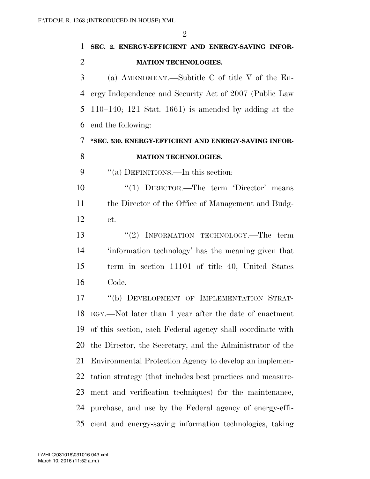|                | $\mathcal{D}_{\mathcal{A}}$                             |
|----------------|---------------------------------------------------------|
| $\mathbf{1}$   | SEC. 2. ENERGY-EFFICIENT AND ENERGY-SAVING INFOR-       |
| $\overline{2}$ | <b>MATION TECHNOLOGIES.</b>                             |
| 3              | (a) AMENDMENT.—Subtitle C of title V of the En-         |
| 4              | ergy Independence and Security Act of 2007 (Public Law  |
| 5              | $110-140$ ; 121 Stat. 1661) is amended by adding at the |
| 6              | end the following:                                      |
| 7              | "SEC. 530. ENERGY-EFFICIENT AND ENERGY-SAVING INFOR-    |
| 8              | <b>MATION TECHNOLOGIES.</b>                             |
| 9              | "(a) DEFINITIONS.—In this section:                      |
| 10             | "(1) DIRECTOR.—The term 'Director' means                |
| 11             | the Director of the Office of Management and Budg-      |
| 12             | et.                                                     |
| 13             | "(2) INFORMATION TECHNOLOGY.—The term                   |
| 14             | information technology' has the meaning given that      |

Code.

 ''(b) DEVELOPMENT OF IMPLEMENTATION STRAT- EGY.—Not later than 1 year after the date of enactment of this section, each Federal agency shall coordinate with the Director, the Secretary, and the Administrator of the Environmental Protection Agency to develop an implemen- tation strategy (that includes best practices and measure- ment and verification techniques) for the maintenance, purchase, and use by the Federal agency of energy-effi-cient and energy-saving information technologies, taking

term in section 11101 of title 40, United States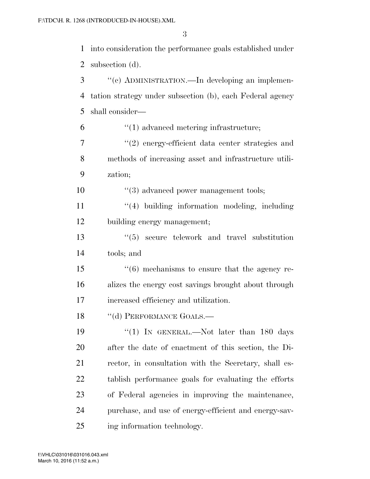into consideration the performance goals established under subsection (d).

| 3      | "(c) ADMINISTRATION.—In developing an implemen-           |
|--------|-----------------------------------------------------------|
| 4      | tation strategy under subsection (b), each Federal agency |
| 5      | shall consider—                                           |
| 6      | $\cdot$ (1) advanced metering infrastructure;             |
| $\tau$ | $"(2)$ energy-efficient data center strategies and        |
| 8      | methods of increasing asset and infrastructure utili-     |
| 9      | zation;                                                   |
| 10     | $\lq(3)$ advanced power management tools;                 |
| 11     | "(4) building information modeling, including             |
| 12     | building energy management;                               |
| 13     | $\cdot\cdot$ (5) secure telework and travel substitution  |
| 14     | tools; and                                                |
| 15     | $((6)$ mechanisms to ensure that the agency re-           |
| 16     | alizes the energy cost savings brought about through      |
| 17     | increased efficiency and utilization.                     |
| 18     | "(d) PERFORMANCE GOALS.-                                  |
| 19     | "(1) IN GENERAL.—Not later than $180$ days                |
| 20     | after the date of enactment of this section, the Di-      |
| 21     | rector, in consultation with the Secretary, shall es-     |
| 22     | tablish performance goals for evaluating the efforts      |
| 23     | of Federal agencies in improving the maintenance,         |
| 24     | purchase, and use of energy-efficient and energy-sav-     |
| 25     | ing information technology.                               |

March 10, 2016 (11:52 a.m.) f:\VHLC\031016\031016.043.xml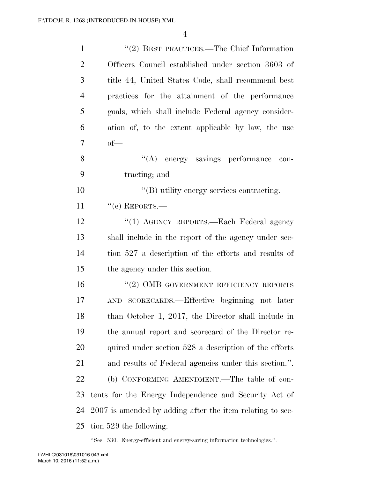| $\mathbf{1}$   | $\cdot\cdot\cdot(2)$ BEST PRACTICES.—The Chief Information |
|----------------|------------------------------------------------------------|
| $\overline{2}$ | Officers Council established under section 3603 of         |
| 3              | title 44, United States Code, shall recommend best         |
| $\overline{4}$ | practices for the attainment of the performance            |
| 5              | goals, which shall include Federal agency consider-        |
| 6              | ation of, to the extent applicable by law, the use         |
| $\overline{7}$ | $of$ —                                                     |
| 8              | "(A) energy savings performance<br>con-                    |
| 9              | tracting; and                                              |
| 10             | $\lq\lq (B)$ utility energy services contracting.          |
| 11             | $``$ (e) REPORTS.—                                         |
| 12             | "(1) AGENCY REPORTS.—Each Federal agency                   |
| 13             | shall include in the report of the agency under sec-       |
| 14             | tion 527 a description of the efforts and results of       |
| 15             | the agency under this section.                             |
| 16             | $``(2)$ OMB GOVERNMENT EFFICIENCY REPORTS                  |
| 17             | AND SCORECARDS.—Effective beginning not later              |
| 18             | than October 1, 2017, the Director shall include in        |
| 19             | the annual report and scorecard of the Director re-        |
| 20             | quired under section 528 a description of the efforts      |
| 21             | and results of Federal agencies under this section.".      |
| 22             | (b) CONFORMING AMENDMENT.—The table of con-                |
| 23             | tents for the Energy Independence and Security Act of      |
| 24             | 2007 is amended by adding after the item relating to sec-  |
| 25             | tion 529 the following:                                    |

''Sec. 530. Energy-efficient and energy-saving information technologies.''.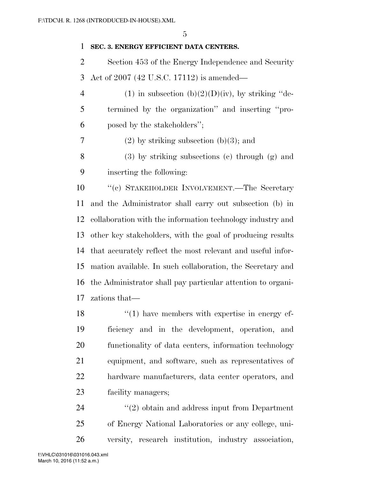# **SEC. 3. ENERGY EFFICIENT DATA CENTERS.**

 Section 453 of the Energy Independence and Security Act of 2007 (42 U.S.C. 17112) is amended—

- 4 (1) in subsection  $(b)(2)(D)(iv)$ , by striking "de- termined by the organization'' and inserting ''pro-posed by the stakeholders'';
- 7 (2) by striking subsection  $(b)(3)$ ; and

 (3) by striking subsections (c) through (g) and inserting the following:

 ''(c) STAKEHOLDER INVOLVEMENT.—The Secretary and the Administrator shall carry out subsection (b) in collaboration with the information technology industry and other key stakeholders, with the goal of producing results that accurately reflect the most relevant and useful infor- mation available. In such collaboration, the Secretary and the Administrator shall pay particular attention to organi-zations that—

18 ''(1) have members with expertise in energy ef- ficiency and in the development, operation, and functionality of data centers, information technology equipment, and software, such as representatives of hardware manufacturers, data center operators, and facility managers;

24 ''(2) obtain and address input from Department of Energy National Laboratories or any college, uni-versity, research institution, industry association,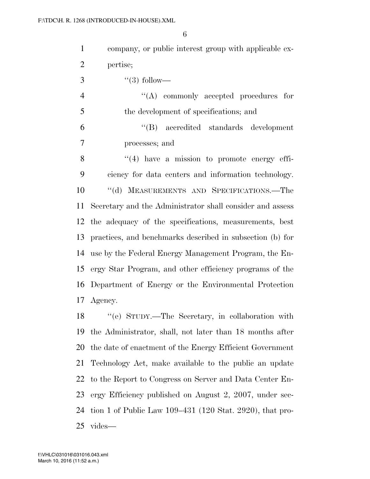| $\mathbf{1}$   | company, or public interest group with applicable ex-      |
|----------------|------------------------------------------------------------|
| $\overline{2}$ | pertise;                                                   |
| 3              | $\lq(3)$ follow—                                           |
| $\overline{4}$ | $\lq\lq$ commonly accepted procedures for                  |
| 5              | the development of specifications; and                     |
| 6              | "(B) accredited standards development                      |
| 7              | processes; and                                             |
| 8              | $\lq(4)$ have a mission to promote energy effi-            |
| 9              | ciency for data centers and information technology.        |
| 10             | "(d) MEASUREMENTS AND SPECIFICATIONS.—The                  |
| 11             | Secretary and the Administrator shall consider and assess  |
|                | 12 the adequacy of the specifications, measurements, best  |
| 13             | practices, and benchmarks described in subsection (b) for  |
| 14             | use by the Federal Energy Management Program, the En-      |
|                | 15 ergy Star Program, and other efficiency programs of the |
| 16             | Department of Energy or the Environmental Protection       |
|                | 17 Agency.                                                 |
|                | 18 "(e) STUDY.—The Secretary, in collaboration with        |
| 19             | the Administrator, shall, not later than 18 months after   |
| 20             | the date of enactment of the Energy Efficient Government   |
| 21             | Technology Act, make available to the public an update     |
| 22             | to the Report to Congress on Server and Data Center En-    |
| 23             | ergy Efficiency published on August 2, 2007, under sec-    |
| 24             | tion 1 of Public Law $109-431$ (120 Stat. 2920), that pro- |

vides—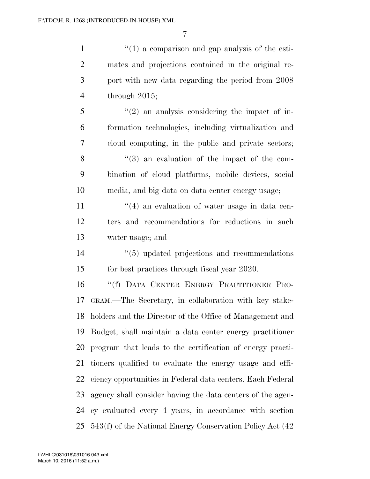$\frac{1}{1}$  (1) a comparison and gap analysis of the esti- mates and projections contained in the original re- port with new data regarding the period from 2008 through 2015; ''(2) an analysis considering the impact of in- formation technologies, including virtualization and cloud computing, in the public and private sectors; ''(3) an evaluation of the impact of the com-bination of cloud platforms, mobile devices, social

media, and big data on data center energy usage;

11 ''(4) an evaluation of water usage in data cen- ters and recommendations for reductions in such water usage; and

14  $(5)$  updated projections and recommendations for best practices through fiscal year 2020.

 ''(f) DATA CENTER ENERGY PRACTITIONER PRO- GRAM.—The Secretary, in collaboration with key stake- holders and the Director of the Office of Management and Budget, shall maintain a data center energy practitioner program that leads to the certification of energy practi- tioners qualified to evaluate the energy usage and effi- ciency opportunities in Federal data centers. Each Federal agency shall consider having the data centers of the agen- cy evaluated every 4 years, in accordance with section 543(f) of the National Energy Conservation Policy Act (42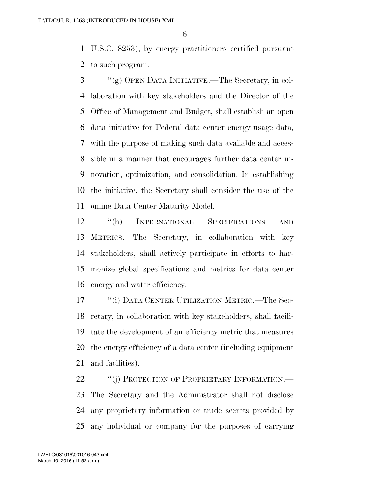U.S.C. 8253), by energy practitioners certified pursuant to such program.

 ''(g) OPEN DATA INITIATIVE.—The Secretary, in col- laboration with key stakeholders and the Director of the Office of Management and Budget, shall establish an open data initiative for Federal data center energy usage data, with the purpose of making such data available and acces- sible in a manner that encourages further data center in- novation, optimization, and consolidation. In establishing the initiative, the Secretary shall consider the use of the online Data Center Maturity Model.

 ''(h) INTERNATIONAL SPECIFICATIONS AND METRICS.—The Secretary, in collaboration with key stakeholders, shall actively participate in efforts to har- monize global specifications and metrics for data center energy and water efficiency.

17 <sup>''</sup>(i) DATA CENTER UTILIZATION METRIC.—The Sec- retary, in collaboration with key stakeholders, shall facili- tate the development of an efficiency metric that measures the energy efficiency of a data center (including equipment and facilities).

22 "(j) PROTECTION OF PROPRIETARY INFORMATION.— The Secretary and the Administrator shall not disclose any proprietary information or trade secrets provided by any individual or company for the purposes of carrying